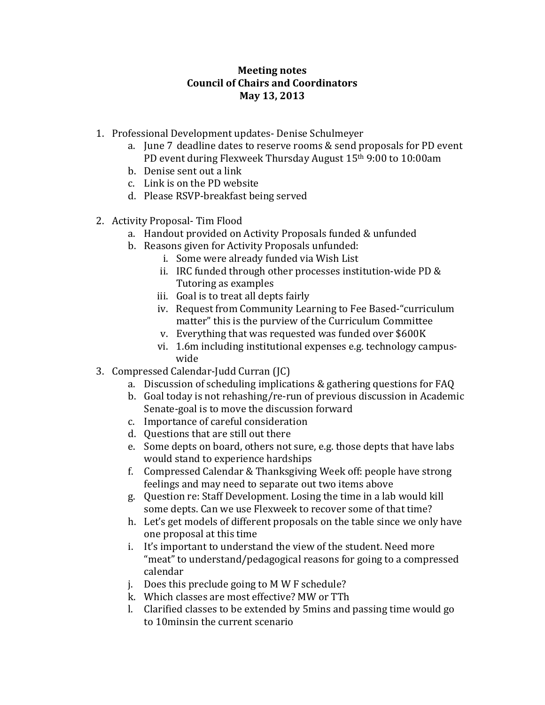## **Meeting notes Council of Chairs and Coordinators May 13, 2013**

- 1. Professional Development updates- Denise Schulmeyer
	- a. June 7 deadline dates to reserve rooms & send proposals for PD event PD event during Flexweek Thursday August 15th 9:00 to 10:00am
	- b. Denise sent out a link
	- c. Link is on the PD website
	- d. Please RSVP-breakfast being served
- 2. Activity Proposal- Tim Flood
	- a. Handout provided on Activity Proposals funded & unfunded
	- b. Reasons given for Activity Proposals unfunded:
		- i. Some were already funded via Wish List
			- ii. IRC funded through other processes institution-wide PD & Tutoring as examples
		- iii. Goal is to treat all depts fairly
		- iv. Request from Community Learning to Fee Based-"curriculum matter" this is the purview of the Curriculum Committee
		- v. Everything that was requested was funded over \$600K
		- vi. 1.6m including institutional expenses e.g. technology campuswide
- 3. Compressed Calendar-Judd Curran (JC)
	- a. Discussion of scheduling implications & gathering questions for FAQ
	- b. Goal today is not rehashing/re-run of previous discussion in Academic Senate-goal is to move the discussion forward
	- c. Importance of careful consideration
	- d. Questions that are still out there
	- e. Some depts on board, others not sure, e.g. those depts that have labs would stand to experience hardships
	- f. Compressed Calendar & Thanksgiving Week off: people have strong feelings and may need to separate out two items above
	- g. Question re: Staff Development. Losing the time in a lab would kill some depts. Can we use Flexweek to recover some of that time?
	- h. Let's get models of different proposals on the table since we only have one proposal at this time
	- i. It's important to understand the view of the student. Need more "meat" to understand/pedagogical reasons for going to a compressed calendar
	- j. Does this preclude going to M W F schedule?
	- k. Which classes are most effective? MW or TTh
	- l. Clarified classes to be extended by 5mins and passing time would go to 10minsin the current scenario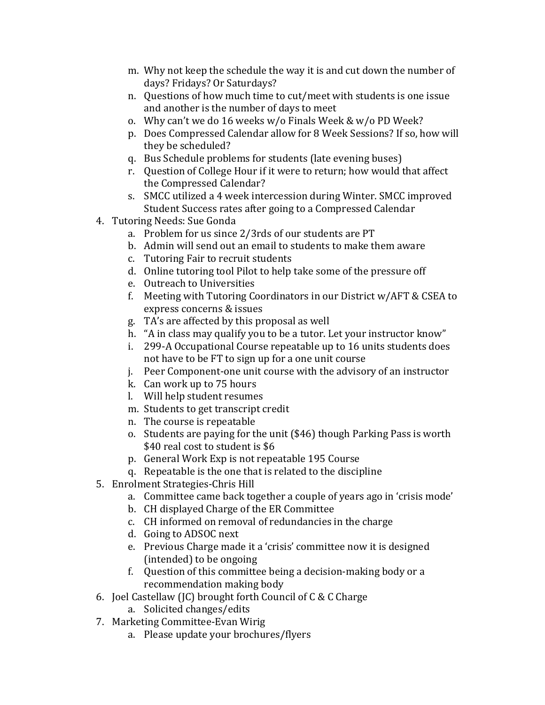- m. Why not keep the schedule the way it is and cut down the number of days? Fridays? Or Saturdays?
- n. Questions of how much time to cut/meet with students is one issue and another is the number of days to meet
- o. Why can't we do 16 weeks w/o Finals Week & w/o PD Week?
- p. Does Compressed Calendar allow for 8 Week Sessions? If so, how will they be scheduled?
- q. Bus Schedule problems for students (late evening buses)
- r. Question of College Hour if it were to return; how would that affect the Compressed Calendar?
- s. SMCC utilized a 4 week intercession during Winter. SMCC improved Student Success rates after going to a Compressed Calendar
- 4. Tutoring Needs: Sue Gonda
	- a. Problem for us since 2/3rds of our students are PT
	- b. Admin will send out an email to students to make them aware
	- c. Tutoring Fair to recruit students
	- d. Online tutoring tool Pilot to help take some of the pressure off
	- e. Outreach to Universities
	- f. Meeting with Tutoring Coordinators in our District w/AFT & CSEA to express concerns & issues
	- g. TA's are affected by this proposal as well
	- h. "A in class may qualify you to be a tutor. Let your instructor know"
	- i. 299-A Occupational Course repeatable up to 16 units students does not have to be FT to sign up for a one unit course
	- j. Peer Component-one unit course with the advisory of an instructor
	- k. Can work up to 75 hours
	- l. Will help student resumes
	- m. Students to get transcript credit
	- n. The course is repeatable
	- o. Students are paying for the unit (\$46) though Parking Pass is worth \$40 real cost to student is \$6
	- p. General Work Exp is not repeatable 195 Course
	- q. Repeatable is the one that is related to the discipline
- 5. Enrolment Strategies-Chris Hill
	- a. Committee came back together a couple of years ago in 'crisis mode'
	- b. CH displayed Charge of the ER Committee
	- c. CH informed on removal of redundancies in the charge
	- d. Going to ADSOC next
	- e. Previous Charge made it a 'crisis' committee now it is designed (intended) to be ongoing
	- f. Question of this committee being a decision-making body or a recommendation making body
- 6. Joel Castellaw (JC) brought forth Council of C & C Charge
	- a. Solicited changes/edits
- 7. Marketing Committee-Evan Wirig
	- a. Please update your brochures/flyers